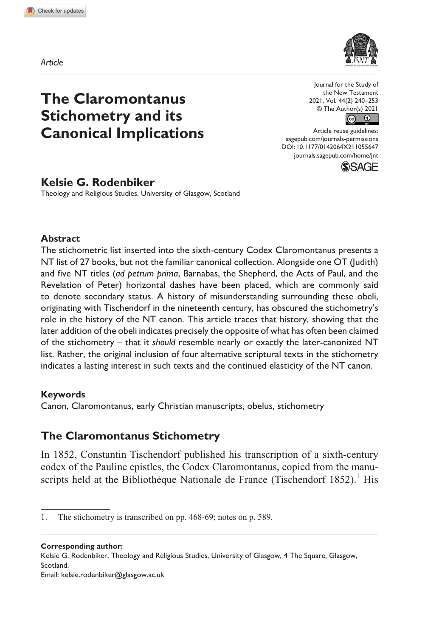*Article*



# **The Claromontanus Stichometry and its Canonical Implications**

Journal for the Study of the New Testament 2021, Vol. 44(2) 240–253  $\circledcirc$  The Author(s) 2021

Article reuse guidelines: [sagepub.com/journals-permissions](https://uk.sagepub.com/en-gb/journals-permissions) DOI: 10.1177/0142064X211055647 [journals.sagepub.com/home/jnt](https://journals.sagepub.com/home/jnt) **SSAGE** 



Theology and Religious Studies, University of Glasgow, Scotland

### **Abstract**

The stichometric list inserted into the sixth-century Codex Claromontanus presents a NT list of 27 books, but not the familiar canonical collection. Alongside one OT (Judith) and five NT titles (*ad petrum prima*, Barnabas, the Shepherd, the Acts of Paul, and the Revelation of Peter) horizontal dashes have been placed, which are commonly said to denote secondary status. A history of misunderstanding surrounding these obeli, originating with Tischendorf in the nineteenth century, has obscured the stichometry's role in the history of the NT canon. This article traces that history, showing that the later addition of the obeli indicates precisely the opposite of what has often been claimed of the stichometry – that it *should* resemble nearly or exactly the later-canonized NT list. Rather, the original inclusion of four alternative scriptural texts in the stichometry indicates a lasting interest in such texts and the continued elasticity of the NT canon.

### **Keywords**

Canon, Claromontanus, early Christian manuscripts, obelus, stichometry

## **The Claromontanus Stichometry**

In 1852, Constantin Tischendorf published his transcription of a sixth-century codex of the Pauline epistles, the Codex Claromontanus, copied from the manuscripts held at the Bibliothèque Nationale de France (Tischendorf  $1852$ ).<sup>1</sup> His

**Corresponding author:**

Kelsie G. Rodenbiker, Theology and Religious Studies, University of Glasgow, 4 The Square, Glasgow, Scotland.

Email: kelsie.rodenbiker@glasgow.ac.uk

<sup>1.</sup> The stichometry is transcribed on pp. 468-69; notes on p. 589.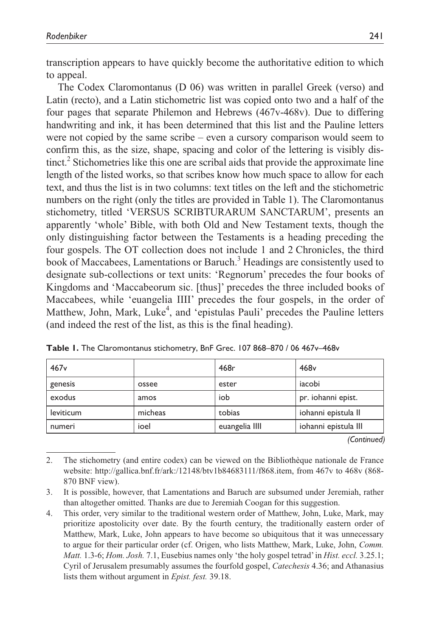transcription appears to have quickly become the authoritative edition to which to appeal.

The Codex Claromontanus (D 06) was written in parallel Greek (verso) and Latin (recto), and a Latin stichometric list was copied onto two and a half of the four pages that separate Philemon and Hebrews (467v-468v). Due to differing handwriting and ink, it has been determined that this list and the Pauline letters were not copied by the same scribe – even a cursory comparison would seem to confirm this, as the size, shape, spacing and color of the lettering is visibly distinct.<sup>2</sup> Stichometries like this one are scribal aids that provide the approximate line length of the listed works, so that scribes know how much space to allow for each text, and thus the list is in two columns: text titles on the left and the stichometric numbers on the right (only the titles are provided in Table 1). The Claromontanus stichometry, titled 'VERSUS SCRIBTURARUM SANCTARUM', presents an apparently 'whole' Bible, with both Old and New Testament texts, though the only distinguishing factor between the Testaments is a heading preceding the four gospels. The OT collection does not include 1 and 2 Chronicles, the third book of Maccabees, Lamentations or Baruch.<sup>3</sup> Headings are consistently used to designate sub-collections or text units: 'Regnorum' precedes the four books of Kingdoms and 'Maccabeorum sic. [thus]' precedes the three included books of Maccabees, while 'euangelia IIII' precedes the four gospels, in the order of Matthew, John, Mark, Luke<sup>4</sup>, and 'epistulas Pauli' precedes the Pauline letters (and indeed the rest of the list, as this is the final heading).

| 467v      |         | 468r           | 468 <sub>v</sub>     |
|-----------|---------|----------------|----------------------|
| genesis   | ossee   | ester          | iacobi               |
| exodus    | amos    | iob            | pr. iohanni epist.   |
| leviticum | micheas | tobias         | iohanni epistula II  |
| numeri    | ioel    | euangelia IIII | iohanni epistula III |

**Table 1.** The Claromontanus stichometry, BnF Grec. 107 868–870 / 06 467v–468v

*(Continued)*

<sup>2.</sup> The stichometry (and entire codex) can be viewed on the Bibliothèque nationale de France website: [http://gallica.bnf.fr/ark:/12148/btv1b84683111/f868.item,](http://gallica.bnf.fr/ark:/12148/btv1b84683111/f868.item) from 467v to 468v (868- 870 BNF view).

<sup>3.</sup> It is possible, however, that Lamentations and Baruch are subsumed under Jeremiah, rather than altogether omitted. Thanks are due to Jeremiah Coogan for this suggestion.

<sup>4.</sup> This order, very similar to the traditional western order of Matthew, John, Luke, Mark, may prioritize apostolicity over date. By the fourth century, the traditionally eastern order of Matthew, Mark, Luke, John appears to have become so ubiquitous that it was unnecessary to argue for their particular order (cf. Origen, who lists Matthew, Mark, Luke, John, *Comm. Matt.* 1.3-6; *Hom. Josh.* 7.1, Eusebius names only 'the holy gospel tetrad' in *Hist. eccl.* 3.25.1; Cyril of Jerusalem presumably assumes the fourfold gospel, *Catechesis* 4.36; and Athanasius lists them without argument in *Epist. fest.* 39.18.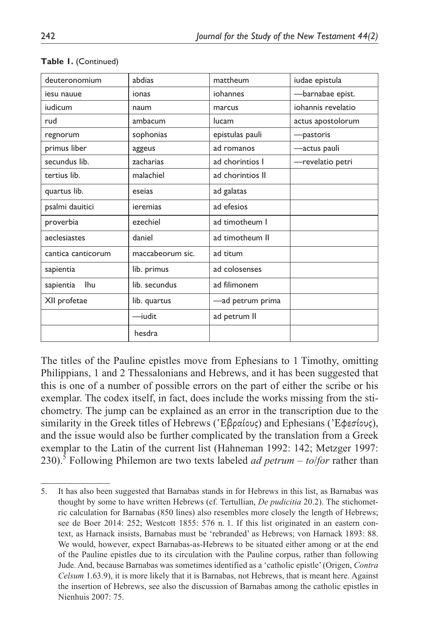| deuteronomium      | abdias           | mattheum         | iudae epistula     |
|--------------------|------------------|------------------|--------------------|
| iesu nauue         | ionas            | iohannes         | -barnabae epist.   |
| iudicum            | naum             | marcus           | iohannis revelatio |
| rud                | ambacum          | lucam            | actus apostolorum  |
| regnorum           | sophonias        | epistulas pauli  | -pastoris          |
| primus liber       | aggeus           | ad romanos       | -actus pauli       |
| secundus lib.      | zacharias        | ad chorintios I  | -revelatio petri   |
| tertius lib.       | malachiel        | ad chorintios II |                    |
| quartus lib.       | esejas           | ad galatas       |                    |
| psalmi dauitici    | ieremias         | ad efesios       |                    |
| proverbia          | ezechiel         | ad timotheum I   |                    |
| aeclesiastes       | daniel           | ad timotheum II  |                    |
| cantica canticorum | maccabeorum sic. | ad titum         |                    |
| sapientia          | lib. primus      | ad colosenses    |                    |
| Ihu<br>sapientia   | lib. secundus    | ad filimonem     |                    |
| XII profetae       | lib. quartus     | -ad petrum prima |                    |
|                    | —iudit           | ad petrum II     |                    |
|                    | hesdra           |                  |                    |

#### **Table 1.** (Continued)

The titles of the Pauline epistles move from Ephesians to 1 Timothy, omitting Philippians, 1 and 2 Thessalonians and Hebrews, and it has been suggested that this is one of a number of possible errors on the part of either the scribe or his exemplar. The codex itself, in fact, does include the works missing from the stichometry. The jump can be explained as an error in the transcription due to the similarity in the Greek titles of Hebrews ('Ἑβραίους) and Ephesians ('Ἐφεσίους), and the issue would also be further complicated by the translation from a Greek exemplar to the Latin of the current list (Hahneman 1992: 142; Metzger 1997: 230).5 Following Philemon are two texts labeled *ad petrum* – *to*/*for* rather than

<sup>5.</sup> It has also been suggested that Barnabas stands in for Hebrews in this list, as Barnabas was thought by some to have written Hebrews (cf. Tertullian, *De pudicitia* 20.2). The stichometric calculation for Barnabas (850 lines) also resembles more closely the length of Hebrews; see de Boer 2014: 252; Westcott 1855: 576 n. 1. If this list originated in an eastern context, as Harnack insists, Barnabas must be 'rebranded' as Hebrews; von Harnack 1893: 88. We would, however, expect Barnabas-as-Hebrews to be situated either among or at the end of the Pauline epistles due to its circulation with the Pauline corpus, rather than following Jude. And, because Barnabas was sometimes identified as a 'catholic epistle' (Origen, *Contra Celsum* 1.63.9), it is more likely that it is Barnabas, not Hebrews, that is meant here. Against the insertion of Hebrews, see also the discussion of Barnabas among the catholic epistles in Nienhuis 2007: 75.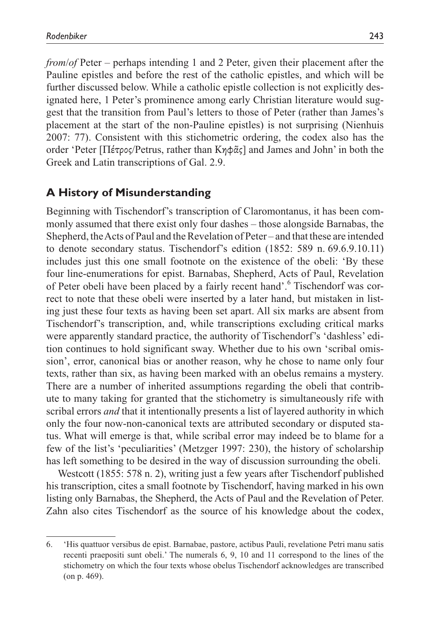*from*/*of* Peter – perhaps intending 1 and 2 Peter, given their placement after the Pauline epistles and before the rest of the catholic epistles, and which will be further discussed below. While a catholic epistle collection is not explicitly designated here, 1 Peter's prominence among early Christian literature would suggest that the transition from Paul's letters to those of Peter (rather than James's placement at the start of the non-Pauline epistles) is not surprising (Nienhuis 2007: 77). Consistent with this stichometric ordering, the codex also has the order 'Peter [Πέτρος/Petrus, rather than Κηφᾶς] and James and John' in both the Greek and Latin transcriptions of Gal. 2.9.

### **A History of Misunderstanding**

Beginning with Tischendorf's transcription of Claromontanus, it has been commonly assumed that there exist only four dashes – those alongside Barnabas, the Shepherd, the Acts of Paul and the Revelation of Peter – and that these are intended to denote secondary status. Tischendorf's edition (1852: 589 n. 69.6.9.10.11) includes just this one small footnote on the existence of the obeli: 'By these four line-enumerations for epist. Barnabas, Shepherd, Acts of Paul, Revelation of Peter obeli have been placed by a fairly recent hand'.<sup>6</sup> Tischendorf was correct to note that these obeli were inserted by a later hand, but mistaken in listing just these four texts as having been set apart. All six marks are absent from Tischendorf's transcription, and, while transcriptions excluding critical marks were apparently standard practice, the authority of Tischendorf's 'dashless' edition continues to hold significant sway. Whether due to his own 'scribal omission', error, canonical bias or another reason, why he chose to name only four texts, rather than six, as having been marked with an obelus remains a mystery. There are a number of inherited assumptions regarding the obeli that contribute to many taking for granted that the stichometry is simultaneously rife with scribal errors *and* that it intentionally presents a list of layered authority in which only the four now-non-canonical texts are attributed secondary or disputed status. What will emerge is that, while scribal error may indeed be to blame for a few of the list's 'peculiarities' (Metzger 1997: 230), the history of scholarship has left something to be desired in the way of discussion surrounding the obeli.

Westcott (1855: 578 n. 2), writing just a few years after Tischendorf published his transcription, cites a small footnote by Tischendorf, having marked in his own listing only Barnabas, the Shepherd, the Acts of Paul and the Revelation of Peter. Zahn also cites Tischendorf as the source of his knowledge about the codex,

<sup>6.</sup> 'His quattuor versibus de epist. Barnabae, pastore, actibus Pauli, revelatione Petri manu satis recenti praepositi sunt obeli.' The numerals 6, 9, 10 and 11 correspond to the lines of the stichometry on which the four texts whose obelus Tischendorf acknowledges are transcribed (on p. 469).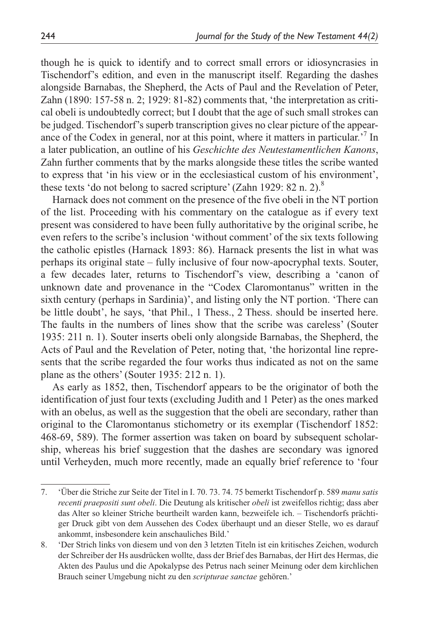though he is quick to identify and to correct small errors or idiosyncrasies in Tischendorf's edition, and even in the manuscript itself. Regarding the dashes alongside Barnabas, the Shepherd, the Acts of Paul and the Revelation of Peter, Zahn (1890: 157-58 n. 2; 1929: 81-82) comments that, 'the interpretation as critical obeli is undoubtedly correct; but I doubt that the age of such small strokes can be judged. Tischendorf's superb transcription gives no clear picture of the appearance of the Codex in general, nor at this point, where it matters in particular.<sup>7</sup> In a later publication, an outline of his *Geschichte des Neutestamentlichen Kanons*, Zahn further comments that by the marks alongside these titles the scribe wanted to express that 'in his view or in the ecclesiastical custom of his environment', these texts 'do not belong to sacred scripture' (Zahn 1929: 82 n. 2).<sup>8</sup>

Harnack does not comment on the presence of the five obeli in the NT portion of the list. Proceeding with his commentary on the catalogue as if every text present was considered to have been fully authoritative by the original scribe, he even refers to the scribe's inclusion 'without comment' of the six texts following the catholic epistles (Harnack 1893: 86). Harnack presents the list in what was perhaps its original state – fully inclusive of four now-apocryphal texts. Souter, a few decades later, returns to Tischendorf's view, describing a 'canon of unknown date and provenance in the "Codex Claromontanus" written in the sixth century (perhaps in Sardinia)', and listing only the NT portion. 'There can be little doubt', he says, 'that Phil., 1 Thess., 2 Thess. should be inserted here. The faults in the numbers of lines show that the scribe was careless' (Souter 1935: 211 n. 1). Souter inserts obeli only alongside Barnabas, the Shepherd, the Acts of Paul and the Revelation of Peter, noting that, 'the horizontal line represents that the scribe regarded the four works thus indicated as not on the same plane as the others' (Souter 1935: 212 n. 1).

As early as 1852, then, Tischendorf appears to be the originator of both the identification of just four texts (excluding Judith and 1 Peter) as the ones marked with an obelus, as well as the suggestion that the obeli are secondary, rather than original to the Claromontanus stichometry or its exemplar (Tischendorf 1852: 468-69, 589). The former assertion was taken on board by subsequent scholarship, whereas his brief suggestion that the dashes are secondary was ignored until Verheyden, much more recently, made an equally brief reference to 'four

<sup>7.</sup> 'Über die Striche zur Seite der Titel in I. 70. 73. 74. 75 bemerkt Tischendorf p. 589 *manu satis recenti praepositi sunt obeli*. Die Deutung als kritischer *obeli* ist zweifellos richtig; dass aber das Alter so kleiner Striche beurtheilt warden kann, bezweifele ich. – Tischendorfs prächtiger Druck gibt von dem Aussehen des Codex überhaupt und an dieser Stelle, wo es darauf ankommt, insbesondere kein anschauliches Bild.'

<sup>8.</sup> 'Der Strich links von diesem und von den 3 letzten Titeln ist ein kritisches Zeichen, wodurch der Schreiber der Hs ausdrücken wollte, dass der Brief des Barnabas, der Hirt des Hermas, die Akten des Paulus und die Apokalypse des Petrus nach seiner Meinung oder dem kirchlichen Brauch seiner Umgebung nicht zu den *scripturae sanctae* gehören.'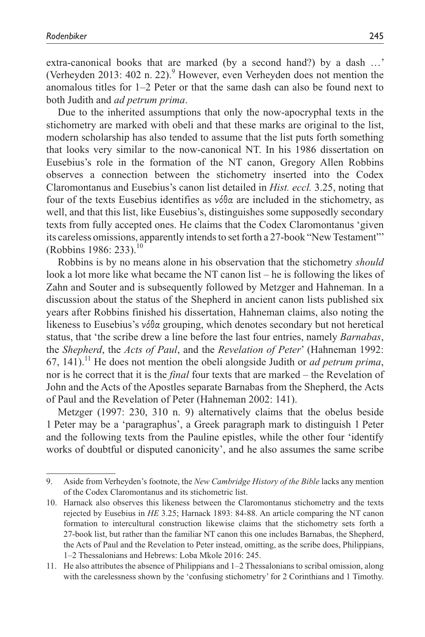extra-canonical books that are marked (by a second hand?) by a dash …' (Verheyden 2013: 402 n. 22). $9$  However, even Verheyden does not mention the anomalous titles for 1–2 Peter or that the same dash can also be found next to both Judith and *ad petrum prima*.

Due to the inherited assumptions that only the now-apocryphal texts in the stichometry are marked with obeli and that these marks are original to the list, modern scholarship has also tended to assume that the list puts forth something that looks very similar to the now-canonical NT. In his 1986 dissertation on Eusebius's role in the formation of the NT canon, Gregory Allen Robbins observes a connection between the stichometry inserted into the Codex Claromontanus and Eusebius's canon list detailed in *Hist. eccl.* 3.25, noting that four of the texts Eusebius identifies as νόθα are included in the stichometry, as well, and that this list, like Eusebius's, distinguishes some supposedly secondary texts from fully accepted ones. He claims that the Codex Claromontanus 'given its careless omissions, apparently intends to set forth a 27-book "New Testament"' (Robbins 1986: 233).<sup>10</sup>

Robbins is by no means alone in his observation that the stichometry *should*  look a lot more like what became the NT canon list – he is following the likes of Zahn and Souter and is subsequently followed by Metzger and Hahneman. In a discussion about the status of the Shepherd in ancient canon lists published six years after Robbins finished his dissertation, Hahneman claims, also noting the likeness to Eusebius's νόθα grouping, which denotes secondary but not heretical status, that 'the scribe drew a line before the last four entries, namely *Barnabas*, the *Shepherd*, the *Acts of Paul*, and the *Revelation of Peter*' (Hahneman 1992: 67, 141).<sup>11</sup> He does not mention the obeli alongside Judith or *ad petrum prima*, nor is he correct that it is the *final* four texts that are marked – the Revelation of John and the Acts of the Apostles separate Barnabas from the Shepherd, the Acts of Paul and the Revelation of Peter (Hahneman 2002: 141).

Metzger (1997: 230, 310 n. 9) alternatively claims that the obelus beside 1 Peter may be a 'paragraphus', a Greek paragraph mark to distinguish 1 Peter and the following texts from the Pauline epistles, while the other four 'identify works of doubtful or disputed canonicity', and he also assumes the same scribe

<sup>9.</sup> Aside from Verheyden's footnote, the *New Cambridge History of the Bible* lacks any mention of the Codex Claromontanus and its stichometric list.

<sup>10.</sup> Harnack also observes this likeness between the Claromontanus stichometry and the texts rejected by Eusebius in *HE* 3.25; Harnack 1893: 84-88. An article comparing the NT canon formation to intercultural construction likewise claims that the stichometry sets forth a 27-book list, but rather than the familiar NT canon this one includes Barnabas, the Shepherd, the Acts of Paul and the Revelation to Peter instead, omitting, as the scribe does, Philippians, 1–2 Thessalonians and Hebrews: Loba Mkole 2016: 245.

<sup>11.</sup> He also attributes the absence of Philippians and 1–2 Thessalonians to scribal omission, along with the carelessness shown by the 'confusing stichometry' for 2 Corinthians and 1 Timothy.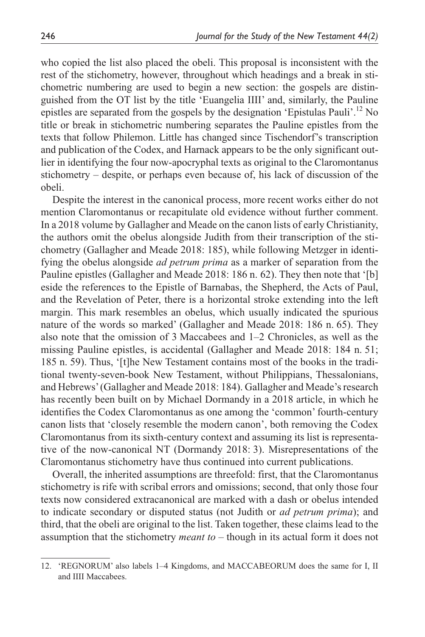who copied the list also placed the obeli. This proposal is inconsistent with the rest of the stichometry, however, throughout which headings and a break in stichometric numbering are used to begin a new section: the gospels are distinguished from the OT list by the title 'Euangelia IIII' and, similarly, the Pauline epistles are separated from the gospels by the designation 'Epistulas Pauli'.<sup>12</sup> No title or break in stichometric numbering separates the Pauline epistles from the texts that follow Philemon. Little has changed since Tischendorf's transcription and publication of the Codex, and Harnack appears to be the only significant outlier in identifying the four now-apocryphal texts as original to the Claromontanus stichometry – despite, or perhaps even because of, his lack of discussion of the obeli.

Despite the interest in the canonical process, more recent works either do not mention Claromontanus or recapitulate old evidence without further comment. In a 2018 volume by Gallagher and Meade on the canon lists of early Christianity, the authors omit the obelus alongside Judith from their transcription of the stichometry (Gallagher and Meade 2018: 185), while following Metzger in identifying the obelus alongside *ad petrum prima* as a marker of separation from the Pauline epistles (Gallagher and Meade 2018: 186 n. 62). They then note that '[b] eside the references to the Epistle of Barnabas, the Shepherd, the Acts of Paul, and the Revelation of Peter, there is a horizontal stroke extending into the left margin. This mark resembles an obelus, which usually indicated the spurious nature of the words so marked' (Gallagher and Meade 2018: 186 n. 65). They also note that the omission of 3 Maccabees and 1–2 Chronicles, as well as the missing Pauline epistles, is accidental (Gallagher and Meade 2018: 184 n. 51; 185 n. 59). Thus, '[t]he New Testament contains most of the books in the traditional twenty-seven-book New Testament, without Philippians, Thessalonians, and Hebrews' (Gallagher and Meade 2018: 184). Gallagher and Meade's research has recently been built on by Michael Dormandy in a 2018 article, in which he identifies the Codex Claromontanus as one among the 'common' fourth-century canon lists that 'closely resemble the modern canon', both removing the Codex Claromontanus from its sixth-century context and assuming its list is representative of the now-canonical NT (Dormandy 2018: 3). Misrepresentations of the Claromontanus stichometry have thus continued into current publications.

Overall, the inherited assumptions are threefold: first, that the Claromontanus stichometry is rife with scribal errors and omissions; second, that only those four texts now considered extracanonical are marked with a dash or obelus intended to indicate secondary or disputed status (not Judith or *ad petrum prima*); and third, that the obeli are original to the list. Taken together, these claims lead to the assumption that the stichometry *meant to* – though in its actual form it does not

<sup>12.</sup> 'REGNORUM' also labels 1–4 Kingdoms, and MACCABEORUM does the same for I, II and IIII Maccabees.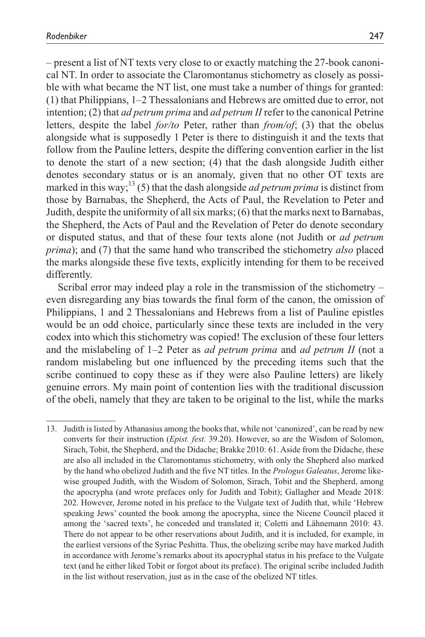– present a list of NT texts very close to or exactly matching the 27-book canonical NT. In order to associate the Claromontanus stichometry as closely as possible with what became the NT list, one must take a number of things for granted: (1) that Philippians, 1–2 Thessalonians and Hebrews are omitted due to error, not intention; (2) that *ad petrum prima* and *ad petrum II* refer to the canonical Petrine letters, despite the label *for/to* Peter, rather than *from/of*; (3) that the obelus alongside what is supposedly 1 Peter is there to distinguish it and the texts that follow from the Pauline letters, despite the differing convention earlier in the list to denote the start of a new section; (4) that the dash alongside Judith either denotes secondary status or is an anomaly, given that no other OT texts are marked in this way;<sup>13</sup> (5) that the dash alongside *ad petrum prima* is distinct from those by Barnabas, the Shepherd, the Acts of Paul, the Revelation to Peter and Judith, despite the uniformity of all six marks; (6) that the marks next to Barnabas, the Shepherd, the Acts of Paul and the Revelation of Peter do denote secondary or disputed status, and that of these four texts alone (not Judith or *ad petrum prima*); and (7) that the same hand who transcribed the stichometry *also* placed the marks alongside these five texts, explicitly intending for them to be received differently.

Scribal error may indeed play a role in the transmission of the stichometry – even disregarding any bias towards the final form of the canon, the omission of Philippians, 1 and 2 Thessalonians and Hebrews from a list of Pauline epistles would be an odd choice, particularly since these texts are included in the very codex into which this stichometry was copied! The exclusion of these four letters and the mislabeling of 1–2 Peter as *ad petrum prima* and *ad petrum II* (not a random mislabeling but one influenced by the preceding items such that the scribe continued to copy these as if they were also Pauline letters) are likely genuine errors. My main point of contention lies with the traditional discussion of the obeli, namely that they are taken to be original to the list, while the marks

<sup>13.</sup> Judith is listed by Athanasius among the books that, while not 'canonized', can be read by new converts for their instruction (*Epist. fest.* 39.20). However, so are the Wisdom of Solomon, Sirach, Tobit, the Shepherd, and the Didache; Brakke 2010: 61. Aside from the Didache, these are also all included in the Claromontanus stichometry, with only the Shepherd also marked by the hand who obelized Judith and the five NT titles. In the *Prologus Galeatus*, Jerome likewise grouped Judith, with the Wisdom of Solomon, Sirach, Tobit and the Shepherd, among the apocrypha (and wrote prefaces only for Judith and Tobit); Gallagher and Meade 2018: 202. However, Jerome noted in his preface to the Vulgate text of Judith that, while 'Hebrew speaking Jews' counted the book among the apocrypha, since the Nicene Council placed it among the 'sacred texts', he conceded and translated it; Coletti and Lähnemann 2010: 43. There do not appear to be other reservations about Judith, and it is included, for example, in the earliest versions of the Syriac Peshitta. Thus, the obelizing scribe may have marked Judith in accordance with Jerome's remarks about its apocryphal status in his preface to the Vulgate text (and he either liked Tobit or forgot about its preface). The original scribe included Judith in the list without reservation, just as in the case of the obelized NT titles.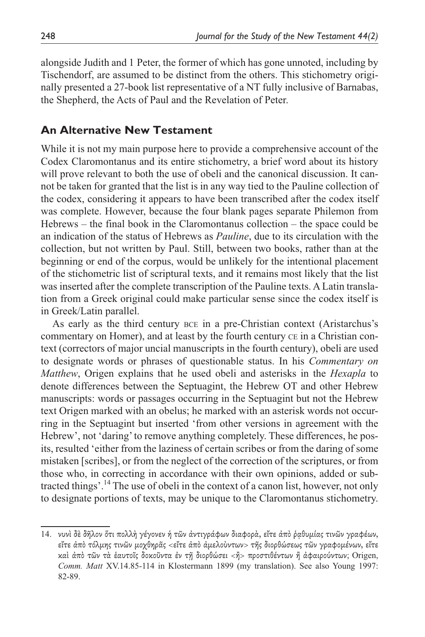alongside Judith and 1 Peter, the former of which has gone unnoted, including by Tischendorf, are assumed to be distinct from the others. This stichometry originally presented a 27-book list representative of a NT fully inclusive of Barnabas, the Shepherd, the Acts of Paul and the Revelation of Peter.

### **An Alternative New Testament**

While it is not my main purpose here to provide a comprehensive account of the Codex Claromontanus and its entire stichometry, a brief word about its history will prove relevant to both the use of obeli and the canonical discussion. It cannot be taken for granted that the list is in any way tied to the Pauline collection of the codex, considering it appears to have been transcribed after the codex itself was complete. However, because the four blank pages separate Philemon from Hebrews – the final book in the Claromontanus collection – the space could be an indication of the status of Hebrews as *Pauline*, due to its circulation with the collection, but not written by Paul. Still, between two books, rather than at the beginning or end of the corpus, would be unlikely for the intentional placement of the stichometric list of scriptural texts, and it remains most likely that the list was inserted after the complete transcription of the Pauline texts. A Latin translation from a Greek original could make particular sense since the codex itself is in Greek/Latin parallel.

As early as the third century bce in a pre-Christian context (Aristarchus's commentary on Homer), and at least by the fourth century ce in a Christian context (correctors of major uncial manuscripts in the fourth century), obeli are used to designate words or phrases of questionable status. In his *Commentary on Matthew*, Origen explains that he used obeli and asterisks in the *Hexapla* to denote differences between the Septuagint, the Hebrew OT and other Hebrew manuscripts: words or passages occurring in the Septuagint but not the Hebrew text Origen marked with an obelus; he marked with an asterisk words not occurring in the Septuagint but inserted 'from other versions in agreement with the Hebrew', not 'daring' to remove anything completely. These differences, he posits, resulted 'either from the laziness of certain scribes or from the daring of some mistaken [scribes], or from the neglect of the correction of the scriptures, or from those who, in correcting in accordance with their own opinions, added or subtracted things'.<sup>14</sup> The use of obeli in the context of a canon list, however, not only to designate portions of texts, may be unique to the Claromontanus stichometry.

<sup>14.</sup> νυνὶ δὲ δῆλον ὅτι πολλὴ γέγονεν ἡ τῶν ἀντιγράφων διαφορὰ, εἴτε ἀπὸ ῥᾳθυμίας τινῶν γραφέων, εἴτε ἀπὸ τόλμης τινῶν μοχθηρᾶς <εἴτε ἀπὸ ἀμελοὺντων> τῆς διορθώσεως τῶν γραφομένων, εἴτε καὶ ἀπὸ τῶν τὰ ἑαυτοῖς δοκοῦντα ἐν τῇ διορθώσει <ἢ> προστιθέντων ἢ ἀφαιρούντων; Origen, *Comm. Matt* XV.14.85-114 in Klostermann 1899 (my translation). See also Young 1997: 82-89.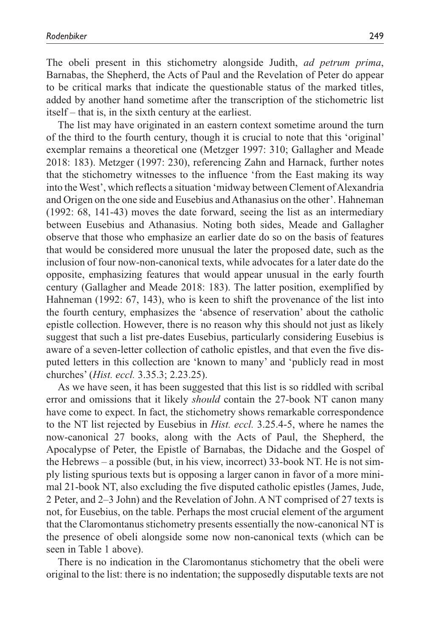The obeli present in this stichometry alongside Judith, *ad petrum prima*, Barnabas, the Shepherd, the Acts of Paul and the Revelation of Peter do appear to be critical marks that indicate the questionable status of the marked titles, added by another hand sometime after the transcription of the stichometric list itself – that is, in the sixth century at the earliest.

The list may have originated in an eastern context sometime around the turn of the third to the fourth century, though it is crucial to note that this 'original' exemplar remains a theoretical one (Metzger 1997: 310; Gallagher and Meade 2018: 183). Metzger (1997: 230), referencing Zahn and Harnack, further notes that the stichometry witnesses to the influence 'from the East making its way into the West', which reflects a situation 'midway between Clement of Alexandria and Origen on the one side and Eusebius and Athanasius on the other'. Hahneman (1992: 68, 141-43) moves the date forward, seeing the list as an intermediary between Eusebius and Athanasius. Noting both sides, Meade and Gallagher observe that those who emphasize an earlier date do so on the basis of features that would be considered more unusual the later the proposed date, such as the inclusion of four now-non-canonical texts, while advocates for a later date do the opposite, emphasizing features that would appear unusual in the early fourth century (Gallagher and Meade 2018: 183). The latter position, exemplified by Hahneman (1992: 67, 143), who is keen to shift the provenance of the list into the fourth century, emphasizes the 'absence of reservation' about the catholic epistle collection. However, there is no reason why this should not just as likely suggest that such a list pre-dates Eusebius, particularly considering Eusebius is aware of a seven-letter collection of catholic epistles, and that even the five disputed letters in this collection are 'known to many' and 'publicly read in most churches' (*Hist. eccl.* 3.35.3; 2.23.25).

As we have seen, it has been suggested that this list is so riddled with scribal error and omissions that it likely *should* contain the 27-book NT canon many have come to expect. In fact, the stichometry shows remarkable correspondence to the NT list rejected by Eusebius in *Hist. eccl.* 3.25.4-5, where he names the now-canonical 27 books, along with the Acts of Paul, the Shepherd, the Apocalypse of Peter, the Epistle of Barnabas, the Didache and the Gospel of the Hebrews – a possible (but, in his view, incorrect) 33-book NT. He is not simply listing spurious texts but is opposing a larger canon in favor of a more minimal 21-book NT, also excluding the five disputed catholic epistles (James, Jude, 2 Peter, and 2–3 John) and the Revelation of John. A NT comprised of 27 texts is not, for Eusebius, on the table. Perhaps the most crucial element of the argument that the Claromontanus stichometry presents essentially the now-canonical NT is the presence of obeli alongside some now non-canonical texts (which can be seen in Table 1 above).

There is no indication in the Claromontanus stichometry that the obeli were original to the list: there is no indentation; the supposedly disputable texts are not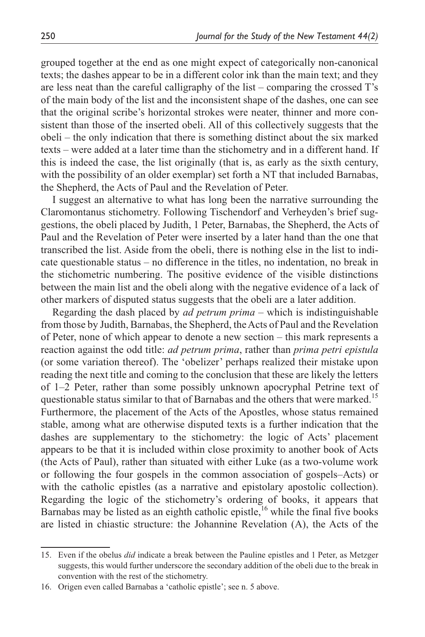grouped together at the end as one might expect of categorically non-canonical texts; the dashes appear to be in a different color ink than the main text; and they are less neat than the careful calligraphy of the list – comparing the crossed T's of the main body of the list and the inconsistent shape of the dashes, one can see that the original scribe's horizontal strokes were neater, thinner and more consistent than those of the inserted obeli. All of this collectively suggests that the obeli – the only indication that there is something distinct about the six marked texts – were added at a later time than the stichometry and in a different hand. If this is indeed the case, the list originally (that is, as early as the sixth century, with the possibility of an older exemplar) set forth a NT that included Barnabas, the Shepherd, the Acts of Paul and the Revelation of Peter.

I suggest an alternative to what has long been the narrative surrounding the Claromontanus stichometry. Following Tischendorf and Verheyden's brief suggestions, the obeli placed by Judith, 1 Peter, Barnabas, the Shepherd, the Acts of Paul and the Revelation of Peter were inserted by a later hand than the one that transcribed the list. Aside from the obeli, there is nothing else in the list to indicate questionable status – no difference in the titles, no indentation, no break in the stichometric numbering. The positive evidence of the visible distinctions between the main list and the obeli along with the negative evidence of a lack of other markers of disputed status suggests that the obeli are a later addition.

Regarding the dash placed by *ad petrum prima* – which is indistinguishable from those by Judith, Barnabas, the Shepherd, the Acts of Paul and the Revelation of Peter, none of which appear to denote a new section – this mark represents a reaction against the odd title: *ad petrum prima*, rather than *prima petri epistula*  (or some variation thereof). The 'obelizer' perhaps realized their mistake upon reading the next title and coming to the conclusion that these are likely the letters of 1–2 Peter, rather than some possibly unknown apocryphal Petrine text of questionable status similar to that of Barnabas and the others that were marked.<sup>15</sup> Furthermore, the placement of the Acts of the Apostles, whose status remained stable, among what are otherwise disputed texts is a further indication that the dashes are supplementary to the stichometry: the logic of Acts' placement appears to be that it is included within close proximity to another book of Acts (the Acts of Paul), rather than situated with either Luke (as a two-volume work or following the four gospels in the common association of gospels–Acts) or with the catholic epistles (as a narrative and epistolary apostolic collection). Regarding the logic of the stichometry's ordering of books, it appears that Barnabas may be listed as an eighth catholic epistle, $16$  while the final five books are listed in chiastic structure: the Johannine Revelation (A), the Acts of the

<sup>15.</sup> Even if the obelus *did* indicate a break between the Pauline epistles and 1 Peter, as Metzger suggests, this would further underscore the secondary addition of the obeli due to the break in convention with the rest of the stichometry.

<sup>16.</sup> Origen even called Barnabas a 'catholic epistle'; see n. 5 above.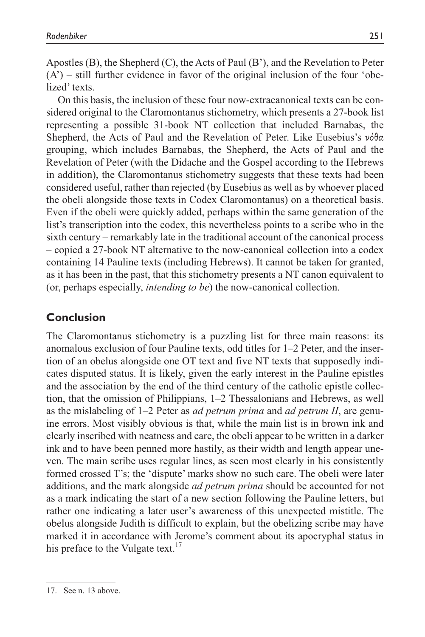Apostles (B), the Shepherd (C), the Acts of Paul (B'), and the Revelation to Peter  $(A')$  – still further evidence in favor of the original inclusion of the four 'obelized' texts.

On this basis, the inclusion of these four now-extracanonical texts can be considered original to the Claromontanus stichometry, which presents a 27-book list representing a possible 31-book NT collection that included Barnabas, the Shepherd, the Acts of Paul and the Revelation of Peter. Like Eusebius's νόθα grouping, which includes Barnabas, the Shepherd, the Acts of Paul and the Revelation of Peter (with the Didache and the Gospel according to the Hebrews in addition), the Claromontanus stichometry suggests that these texts had been considered useful, rather than rejected (by Eusebius as well as by whoever placed the obeli alongside those texts in Codex Claromontanus) on a theoretical basis. Even if the obeli were quickly added, perhaps within the same generation of the list's transcription into the codex, this nevertheless points to a scribe who in the sixth century – remarkably late in the traditional account of the canonical process – copied a 27-book NT alternative to the now-canonical collection into a codex containing 14 Pauline texts (including Hebrews). It cannot be taken for granted, as it has been in the past, that this stichometry presents a NT canon equivalent to (or, perhaps especially, *intending to be*) the now-canonical collection.

# **Conclusion**

The Claromontanus stichometry is a puzzling list for three main reasons: its anomalous exclusion of four Pauline texts, odd titles for 1–2 Peter, and the insertion of an obelus alongside one OT text and five NT texts that supposedly indicates disputed status. It is likely, given the early interest in the Pauline epistles and the association by the end of the third century of the catholic epistle collection, that the omission of Philippians, 1–2 Thessalonians and Hebrews, as well as the mislabeling of 1–2 Peter as *ad petrum prima* and *ad petrum II*, are genuine errors. Most visibly obvious is that, while the main list is in brown ink and clearly inscribed with neatness and care, the obeli appear to be written in a darker ink and to have been penned more hastily, as their width and length appear uneven. The main scribe uses regular lines, as seen most clearly in his consistently formed crossed T's; the 'dispute' marks show no such care. The obeli were later additions, and the mark alongside *ad petrum prima* should be accounted for not as a mark indicating the start of a new section following the Pauline letters, but rather one indicating a later user's awareness of this unexpected mistitle. The obelus alongside Judith is difficult to explain, but the obelizing scribe may have marked it in accordance with Jerome's comment about its apocryphal status in his preface to the Vulgate text. $17$ 

<sup>17.</sup> See n. 13 above.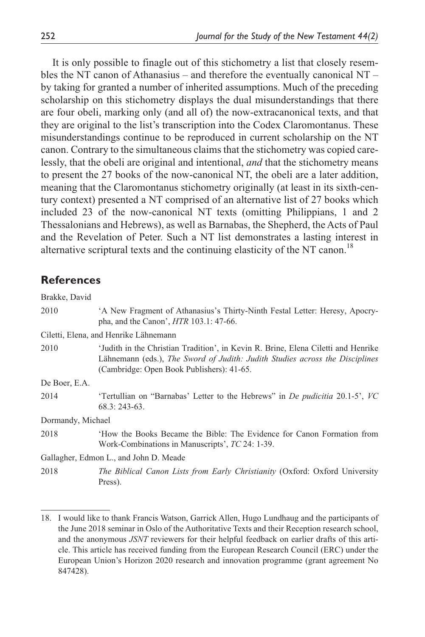It is only possible to finagle out of this stichometry a list that closely resembles the NT canon of Athanasius – and therefore the eventually canonical  $NT$ by taking for granted a number of inherited assumptions. Much of the preceding scholarship on this stichometry displays the dual misunderstandings that there are four obeli, marking only (and all of) the now-extracanonical texts, and that they are original to the list's transcription into the Codex Claromontanus. These misunderstandings continue to be reproduced in current scholarship on the NT canon. Contrary to the simultaneous claims that the stichometry was copied carelessly, that the obeli are original and intentional, *and* that the stichometry means to present the 27 books of the now-canonical NT, the obeli are a later addition, meaning that the Claromontanus stichometry originally (at least in its sixth-century context) presented a NT comprised of an alternative list of 27 books which included 23 of the now-canonical NT texts (omitting Philippians, 1 and 2 Thessalonians and Hebrews), as well as Barnabas, the Shepherd, the Acts of Paul and the Revelation of Peter. Such a NT list demonstrates a lasting interest in alternative scriptural texts and the continuing elasticity of the NT canon.<sup>18</sup>

### **References**

| Brakke, David     |                                                                                                                                                                                                                |
|-------------------|----------------------------------------------------------------------------------------------------------------------------------------------------------------------------------------------------------------|
| 2010              | A New Fragment of Athanasius's Thirty-Ninth Festal Letter: Heresy, Apocry-<br>pha, and the Canon', $HTR$ 103.1: 47-66.                                                                                         |
|                   | Ciletti, Elena, and Henrike Lähnemann                                                                                                                                                                          |
| 2010              | 'Judith in the Christian Tradition', in Kevin R. Brine, Elena Ciletti and Henrike<br>Lähnemann (eds.), The Sword of Judith: Judith Studies across the Disciplines<br>(Cambridge: Open Book Publishers): 41-65. |
| De Boer, E.A.     |                                                                                                                                                                                                                |
| 2014              | 'Tertullian on "Barnabas" Letter to the Hebrews" in <i>De pudicitia</i> 20.1-5', VC<br>$68.3:243-63.$                                                                                                          |
| Dormandy, Michael |                                                                                                                                                                                                                |
| 2018              | How the Books Became the Bible: The Evidence for Canon Formation from<br>Work-Combinations in Manuscripts', TC 24: 1-39.                                                                                       |
|                   | Gallagher, Edmon L., and John D. Meade                                                                                                                                                                         |
| 2018              | <i>The Biblical Canon Lists from Early Christianity (Oxford: Oxford University</i><br>Press).                                                                                                                  |

<sup>18.</sup> I would like to thank Francis Watson, Garrick Allen, Hugo Lundhaug and the participants of the June 2018 seminar in Oslo of the Authoritative Texts and their Reception research school, and the anonymous *JSNT* reviewers for their helpful feedback on earlier drafts of this article. This article has received funding from the European Research Council (ERC) under the European Union's Horizon 2020 research and innovation programme (grant agreement No 847428).